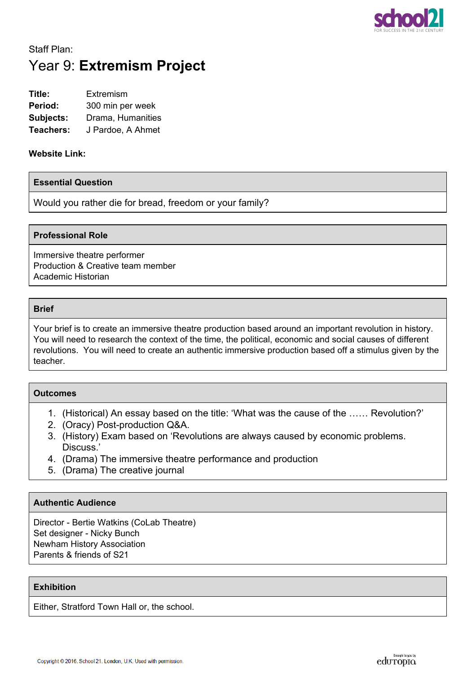

# Staff Plan: Year 9: **Extremism Project**

| Title:    | Extremism         |  |
|-----------|-------------------|--|
| Period:   | 300 min per week  |  |
| Subjects: | Drama, Humanities |  |
| Teachers: | J Pardoe, A Ahmet |  |

#### **Website Link:**

#### **Essential Question**

Would you rather die for bread, freedom or your family?

#### **Professional Role**

Immersive theatre performer Production & Creative team member Academic Historian

#### **Brief**

Your brief is to create an immersive theatre production based around an important revolution in history. You will need to research the context of the time, the political, economic and social causes of different revolutions. You will need to create an authentic immersive production based off a stimulus given by the teacher.

## **Outcomes**

- 1. (Historical) An essay based on the title: 'What was the cause of the …… Revolution?'
- 2. (Oracy) Post-production Q&A.
- 3. (History) Exam based on 'Revolutions are always caused by economic problems. Discuss.'
- 4. (Drama) The immersive theatre performance and production
- 5. (Drama) The creative journal

### **Authentic Audience**

Director - Bertie Watkins (CoLab Theatre) Set designer - Nicky Bunch Newham History Association Parents & friends of S21

#### **Exhibition**

Either, Stratford Town Hall or, the school.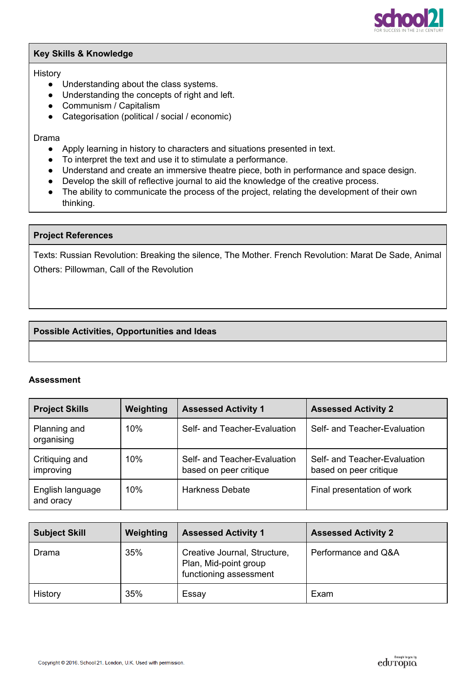

### **Key Skills & Knowledge**

#### **History**

- Understanding about the class systems.
- Understanding the concepts of right and left.
- Communism / Capitalism
- Categorisation (political / social / economic)

#### Drama

- Apply learning in history to characters and situations presented in text.
- To interpret the text and use it to stimulate a performance.
- Understand and create an immersive theatre piece, both in performance and space design.
- Develop the skill of reflective journal to aid the knowledge of the creative process.
- The ability to communicate the process of the project, relating the development of their own thinking.

### **Project References**

Texts: Russian Revolution: Breaking the silence, The Mother. French Revolution: Marat De Sade, Animal Others: Pillowman, Call of the Revolution

# **Possible Activities, Opportunities and Ideas**

### **Assessment**

| <b>Project Skills</b>         | Weighting | <b>Assessed Activity 1</b>                             | <b>Assessed Activity 2</b>                             |  |
|-------------------------------|-----------|--------------------------------------------------------|--------------------------------------------------------|--|
| Planning and<br>organising    | 10%       | Self- and Teacher-Evaluation                           | Self- and Teacher-Evaluation                           |  |
| Critiquing and<br>improving   | 10%       | Self- and Teacher-Evaluation<br>based on peer critique | Self- and Teacher-Evaluation<br>based on peer critique |  |
| English language<br>and oracy | 10%       | <b>Harkness Debate</b>                                 | Final presentation of work                             |  |

| <b>Subject Skill</b> | Weighting | <b>Assessed Activity 1</b>                                                      | <b>Assessed Activity 2</b> |  |
|----------------------|-----------|---------------------------------------------------------------------------------|----------------------------|--|
| Drama                | 35%       | Creative Journal, Structure,<br>Plan, Mid-point group<br>functioning assessment | Performance and Q&A        |  |
| History              | 35%       | Essay                                                                           | Exam                       |  |